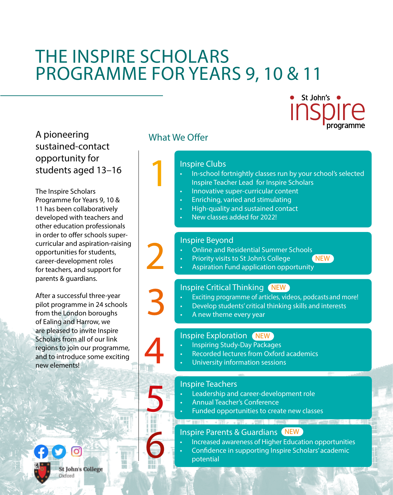# THE INSPIRE SCHOLARS PROGRAMME FOR YEARS 9, 10 & 11

St John's ●

A pioneering sustained-contact opportunity for students aged 13–16

The Inspire Scholars Programme for Years 9, 10 & 11 has been collaboratively developed with teachers and other education professionals in order to offer schools supercurricular and aspiration-raising opportunities for students, career-development roles for teachers, and support for parents & guardians.

After a successful three-year pilot programme in 24 schools from the London boroughs of Ealing and Harrow, we are pleased to invite Inspire Scholars from all of our link regions to join our programme, and to introduce some exciting new elements!



# What We Offer

1

### Inspire Clubs

- In-school fortnightly classes run by your school's selected Inspire Teacher Lead for Inspire Scholars
- Innovative super-curricular content
- Enriching, varied and stimulating
- High-quality and sustained contact
- New classes added for 2022!

#### Inspire Beyond

- Online and Residential Summer Schools
	- NEW
- Priority visits to St John's College<br>Aspiration Fund application opportunity

## Inspire Critical Thinking NEW

- Exciting programme of articles, videos, podcasts and more! • Exciting programme of articles, videos, podcasts and m<br>• Develop students' critical thinking skills and interests<br>• A new theme every year
	-
	-

## Inspire Exploration NEW

- Inspiring Study-Day Packages
- Recorded lectures from Oxford academics<br>University information sessions
- 

#### Inspire Teachers

- Leadership and career-development role
- 
- Leadership and career-development role<br>• Annual Teacher's Conference<br>• Funded opportunities to create new classes

# Inspire Parents & Guardians (NEW

- Increased awareness of Higher Education opportunities
- Confidence in supporting Inspire Scholars' academic<br>potential